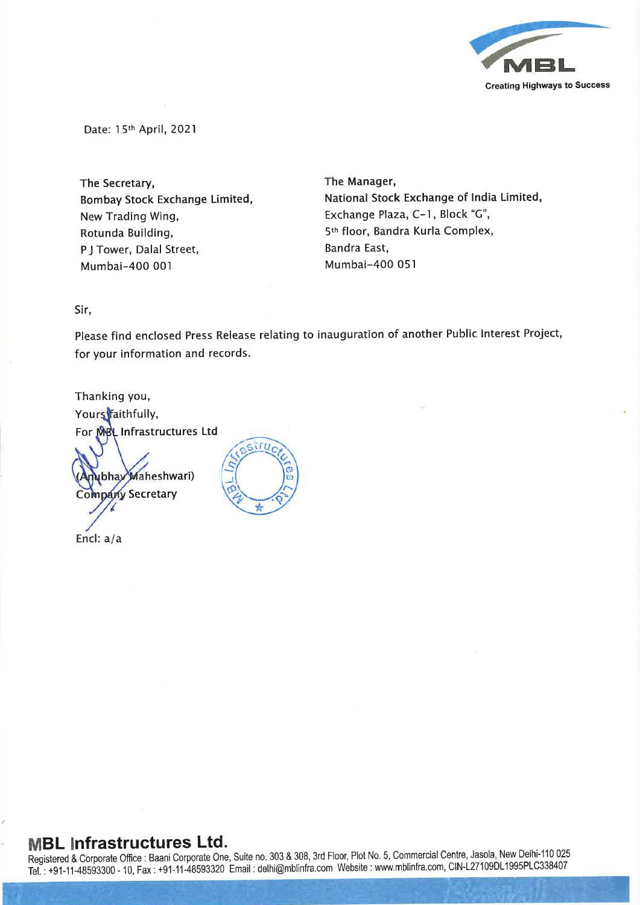

Date: l 5th April, 2021

The Secretary, Bombay Stock Exchange Limited, New Trading Wing, Rotunda Building, P J Tower, Dalal Street, Mumbai-400 001

The Manager, National Stock Exchange of India Limited, Exchange Plaza, C-1, Block "G", 5th floor, Sandra Kurla Complex, Bandra East, Mumbai-400 051

Sir,

Please find enclosed Press Release relating to inauguration of another Public Interest Project, for your information and records.

tru

Thanking you, Yours faithfully, For MBL Infrastructures Ltd

bhay Maheshwari) npany Secretary

Encl: a/a

## MBL Infrastructures Ltd.

Registered & Corporate Office: Baani Corporate One, Suite no. 303 & 308, 3rd Floor, Plot No. 5, Commercial Centre, Jasola, New Delhi-110 025 Tel. : +91-11-48593300 - 10, Fax : +91-11-48593320 Email : delhi@mblinfra.comWebsite : www.mblinfra.com,CIN-L27109DL 1995PLC338407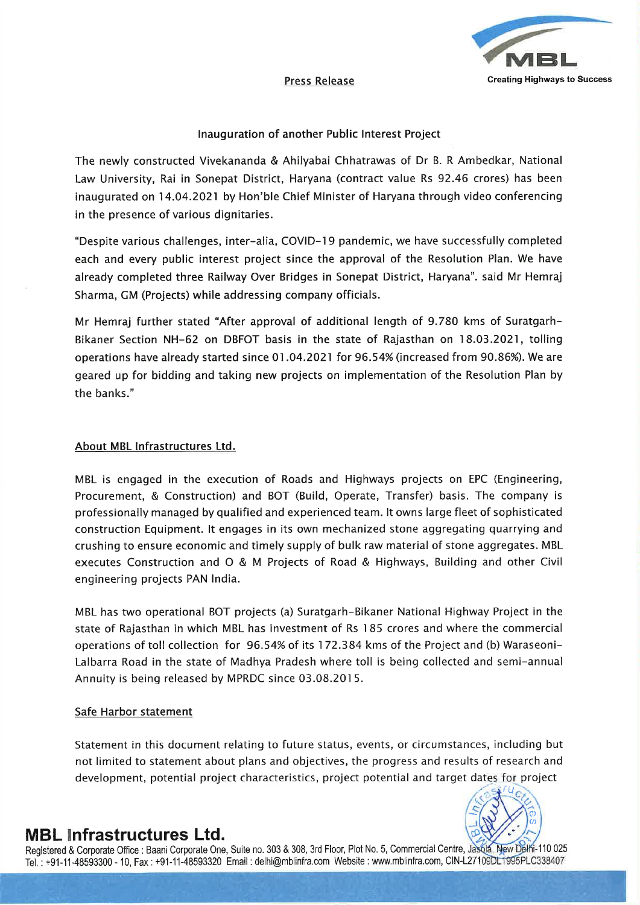

#### Inauguration of another Public Interest Project

The newly constructed Vivekananda & Ahilyabai Chhatrawas of Dr B. <sup>R</sup> Ambedkar, National Law University, Rai in Sonepat District, Haryana (contract value Rs 92.46 crores) has been inaugurated on 14.04.2021 by Hon'ble Chief Minister of Haryana through video conferencing in the presence of various dignitaries.

"Despite various challenges, inter-alia, COVID-19 pandemic, we have successfully completed each and every public interest project since the approval of the Resolution Plan. We have already completed three Railway Over Bridges in Sonepat District, Haryana". said Mr Hemraj Sharma, GM (Projects) while addressing company officials.

Mr Hemraj further stated "After approval of additional length of 9.780 kms of Suratgarh-Bikaner Section NH-62 on DBFOT basis in the state of Rajasthan on 18.03.2021, tolling operations have already started since 01.04.2021 for 96.54% (increased from 90.86%). We are geared up for bidding and taking new projects on implementation of the Resolution Plan by the banks."

### About MBL Infrastructures Ltd.

MBL is engaged in the execution of Roads and Highways projects on EPC (Engineering, Procurement, & Construction) and BOT (Build, Operate, Transfer) basis. The company is professionally managed by qualified and experienced team. It owns large fleet of sophisticated construction Equipment. It engages in its own mechanized stone aggregating quarrying and crushing to ensure economic and timely supply of bulk raw material of stone aggregates. MBL executes Construction and O & M Projects of Road & Highways, Building and other Civil engineering projects PAN India.

MBL has two operational BOT projects (a) Suratgarh-Bikaner National Highway Project in the state of Rajasthan in which MBL has investment of Rs <sup>l</sup> <sup>85</sup> crores and where the commercial operations of toll collection for 96.54% of its 172.384 kms of the Project and (b) Waraseoni-Lalbarra Road in the state of Madhya Pradesh where toll is being collected and semi-annual Annuity is being released by MPRDC since 03.08.2015.

#### Safe Harbor statement

Statement in this document relating to future status, events, or circumstances, including but not limited to statement about plans and objectives, the progress and results of research and development, potential project characteristics, project potential and target dates for project



# MBL Infrastructures Ltd.

Registered & Corporate Office : Baani Corporate One, Suite no. 303 & 308, 3rd Floor, Plot No. 5, Commercial Centre, Jasola, New Delhi-110 025 Tel.: +91-11-48593300 - 10, Fax: +91-11-48593320 Email: delhi@mblinfra.com Website: www.mblinfra.com, CIN-L27109DL1995PLC338407